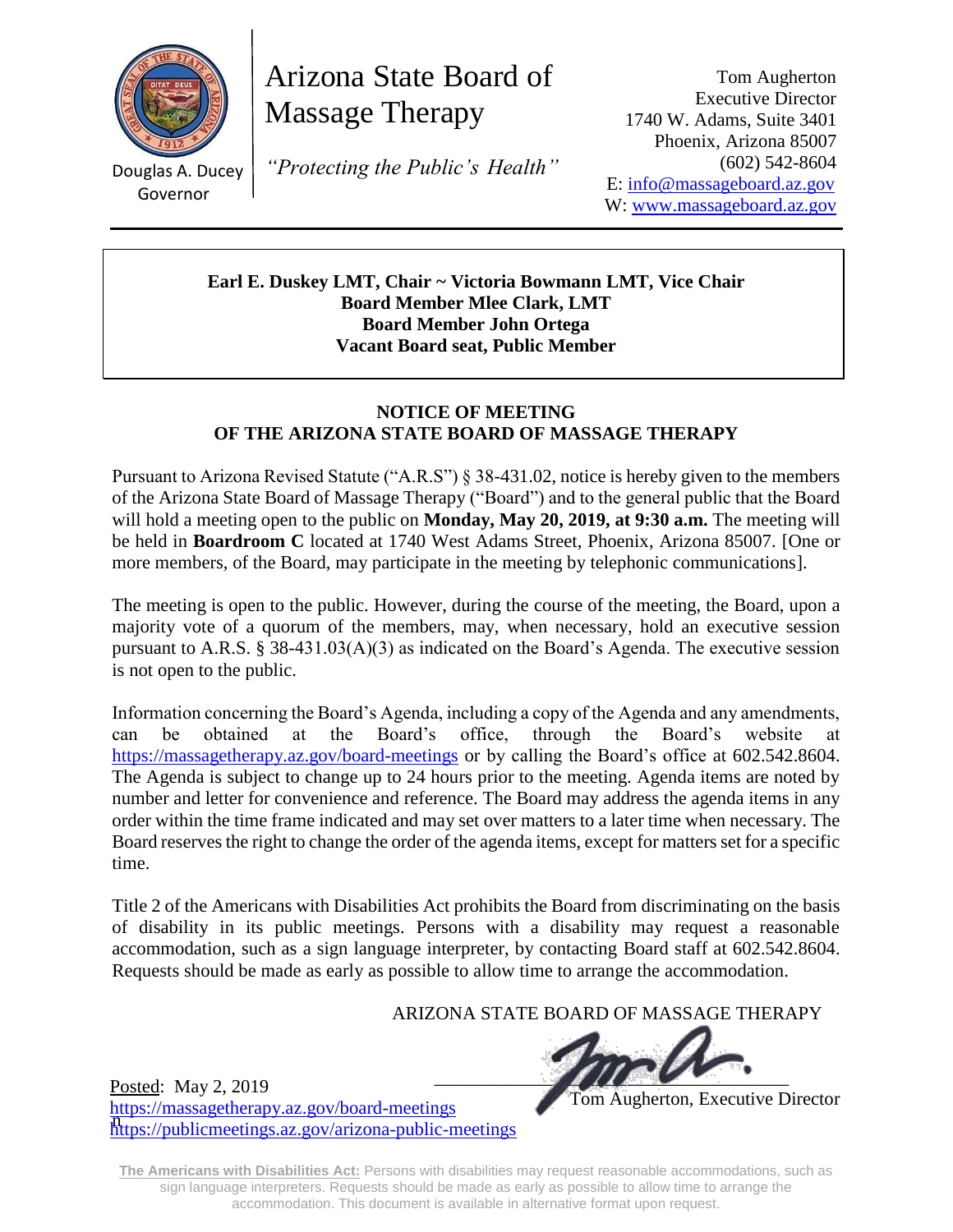

Douglas A. Ducey Governor

Posted: May 2, 2019

<https://massagetherapy.az.gov/board-meetings>

<https://publicmeetings.az.gov/arizona-public-meetings>

Arizona State Board of Massage Therapy

*"Protecting the Public's Health"*

Tom Augherton Executive Director 1740 W. Adams, Suite 3401 Phoenix, Arizona 85007 (602) 542-8604 E: [info@massageboard.az.gov](mailto:info@massageboard.az.gov) W: [www.massageboard.az.gov](http://www.massageboard.az.gov/)

**Earl E. Duskey LMT, Chair ~ Victoria Bowmann LMT, Vice Chair Board Member Mlee Clark, LMT Board Member John Ortega Vacant Board seat, Public Member**

# **NOTICE OF MEETING OF THE ARIZONA STATE BOARD OF MASSAGE THERAPY**

Pursuant to Arizona Revised Statute ("A.R.S") § 38-431.02, notice is hereby given to the members of the Arizona State Board of Massage Therapy ("Board") and to the general public that the Board will hold a meeting open to the public on **Monday, May 20, 2019, at 9:30 a.m.** The meeting will be held in **Boardroom C** located at 1740 West Adams Street, Phoenix, Arizona 85007. [One or more members, of the Board, may participate in the meeting by telephonic communications].

The meeting is open to the public. However, during the course of the meeting, the Board, upon a majority vote of a quorum of the members, may, when necessary, hold an executive session pursuant to A.R.S. § 38-431.03(A)(3) as indicated on the Board's Agenda. The executive session is not open to the public.

Information concerning the Board's Agenda, including a copy of the Agenda and any amendments, can be obtained at the Board's office, through the Board's website at <https://massagetherapy.az.gov/>board-meetings or by calling the Board's office at 602.542.8604. The Agenda is subject to change up to 24 hours prior to the meeting. Agenda items are noted by number and letter for convenience and reference. The Board may address the agenda items in any order within the time frame indicated and may set over matters to a later time when necessary. The Board reserves the right to change the order of the agenda items, except for matters set for a specific time.

Title 2 of the Americans with Disabilities Act prohibits the Board from discriminating on the basis of disability in its public meetings. Persons with a disability may request a reasonable accommodation, such as a sign language interpreter, by contacting Board staff at 602.542.8604. Requests should be made as early as possible to allow time to arrange the accommodation.

ARIZONA STATE BOARD OF MASSAGE THERAPY

 $\blacksquare$ 

Tom Augherton, Executive Director

**The Americans with Disabilities Act:** Persons with disabilities may request reasonable accommodations, such as sign language interpreters. Requests should be made as early as possible to allow time to arrange the accommodation. This document is available in alternative format upon request.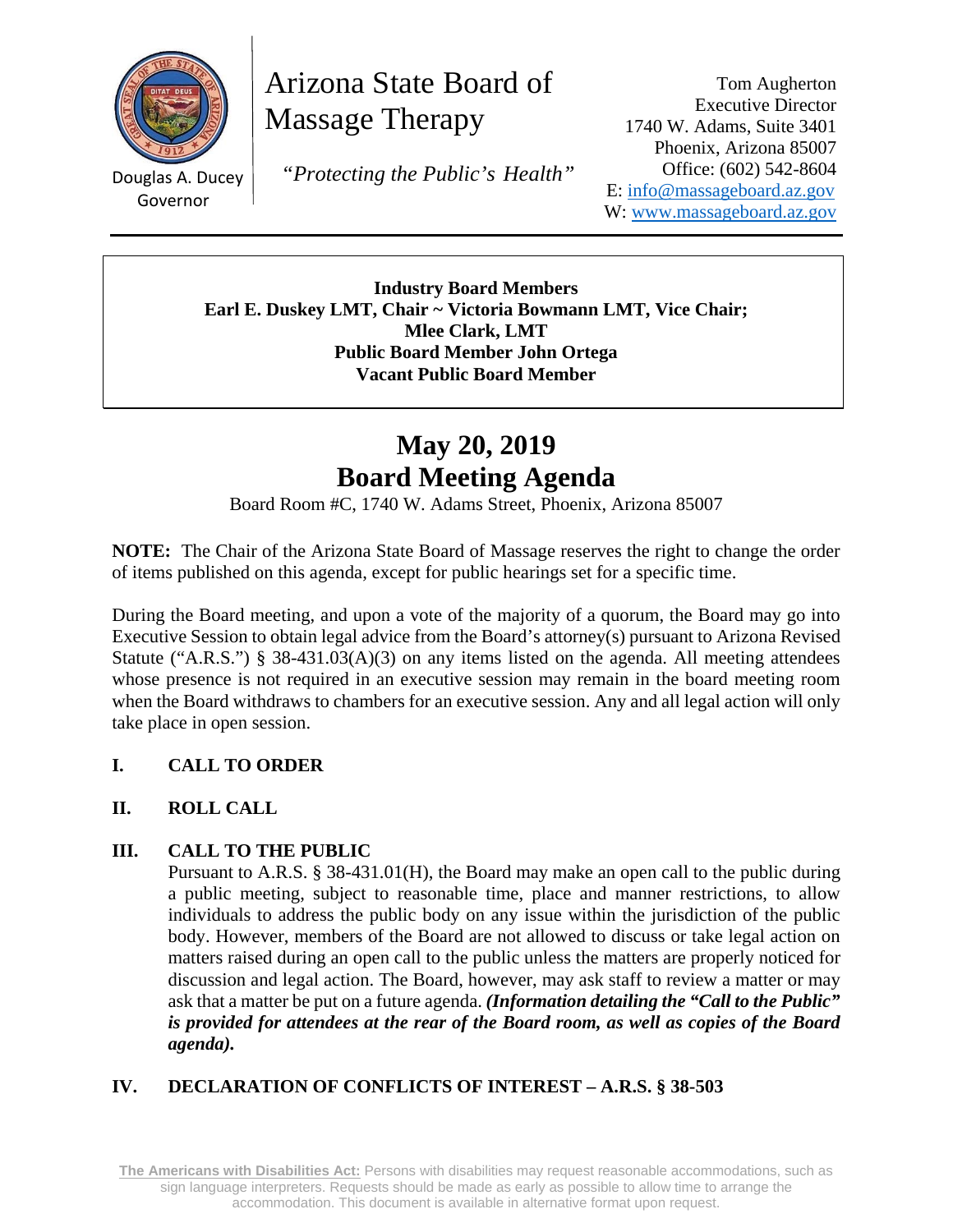

Arizona State Board of Massage Therapy

and the state Governor

Douglas A. Ducey  *"Protecting the Public's Health"*

Tom Augherton Executive Director 1740 W. Adams, Suite 3401 Phoenix, Arizona 85007 Office: (602) 542-8604 E: info@massageboard.az.gov W: www.massageboard.az.gov

**Industry Board Members Earl E. Duskey LMT, Chair ~ Victoria Bowmann LMT, Vice Chair; Mlee Clark, LMT Public Board Member John Ortega Vacant Public Board Member** 

# **May 20, 2019 Board Meeting Agenda**

Board Room #C, 1740 W. Adams Street, Phoenix, Arizona 85007

**NOTE:** The Chair of the Arizona State Board of Massage reserves the right to change the order of items published on this agenda, except for public hearings set for a specific time.

During the Board meeting, and upon a vote of the majority of a quorum, the Board may go into Executive Session to obtain legal advice from the Board's attorney(s) pursuant to Arizona Revised Statute ("A.R.S.") § 38-431.03(A)(3) on any items listed on the agenda. All meeting attendees whose presence is not required in an executive session may remain in the board meeting room when the Board withdraws to chambers for an executive session. Any and all legal action will only take place in open session.

# **I. CALL TO ORDER**

# **II. ROLL CALL**

## **III. CALL TO THE PUBLIC**

Pursuant to A.R.S. § 38-431.01(H), the Board may make an open call to the public during a public meeting, subject to reasonable time, place and manner restrictions, to allow individuals to address the public body on any issue within the jurisdiction of the public body. However, members of the Board are not allowed to discuss or take legal action on matters raised during an open call to the public unless the matters are properly noticed for discussion and legal action. The Board, however, may ask staff to review a matter or may ask that a matter be put on a future agenda. *(Information detailing the "Call to the Public" is provided for attendees at the rear of the Board room, as well as copies of the Board agenda).* 

# **IV. DECLARATION OF CONFLICTS OF INTEREST – A.R.S. § 38-503**

**The Americans with Disabilities Act:** Persons with disabilities may request reasonable accommodations, such as sign language interpreters. Requests should be made as early as possible to allow time to arrange the accommodation. This document is available in alternative format upon request.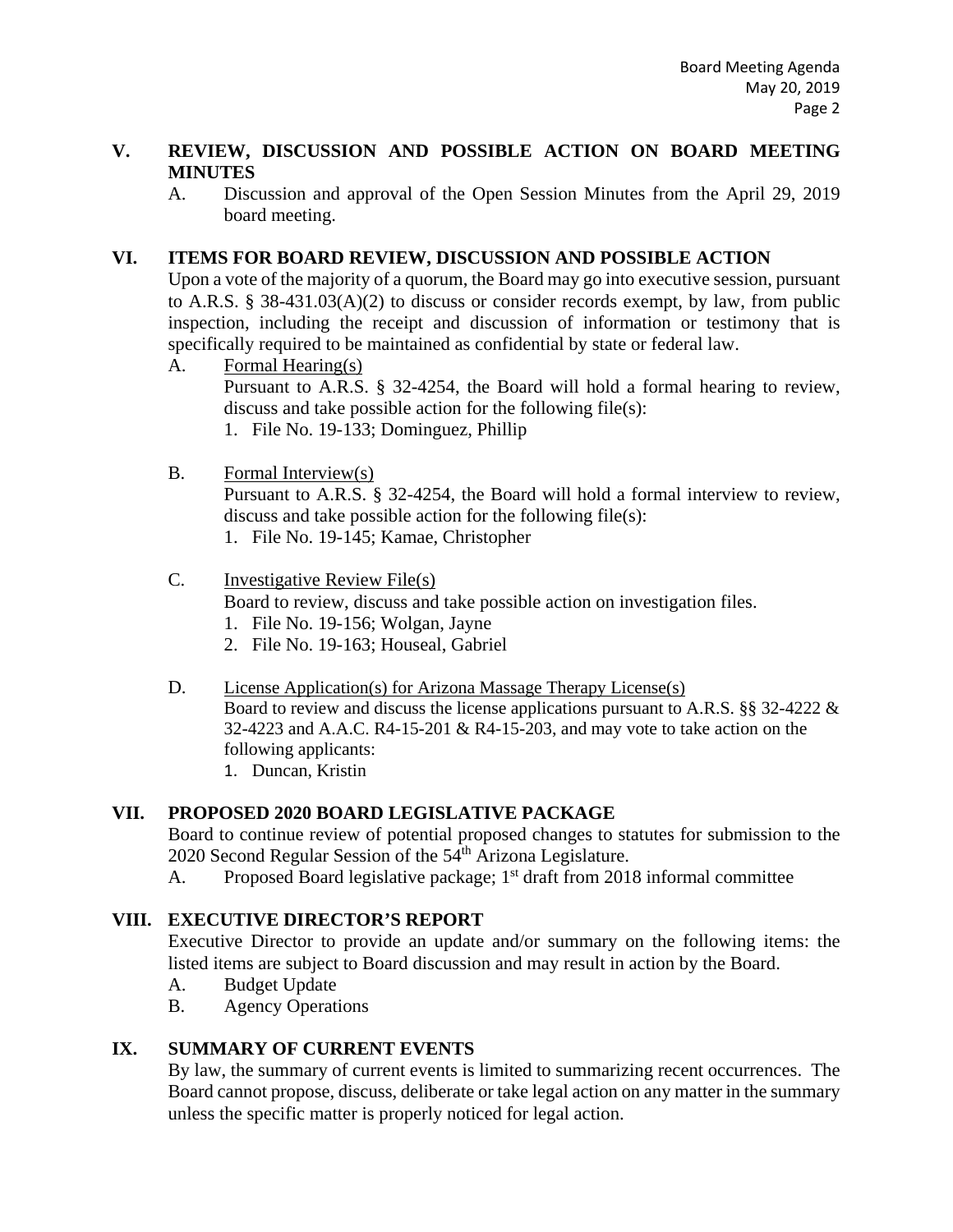#### **V. REVIEW, DISCUSSION AND POSSIBLE ACTION ON BOARD MEETING MINUTES**

A. Discussion and approval of the Open Session Minutes from the April 29, 2019 board meeting.

### **VI. ITEMS FOR BOARD REVIEW, DISCUSSION AND POSSIBLE ACTION**

Upon a vote of the majority of a quorum, the Board may go into executive session, pursuant to A.R.S. § 38-431.03(A)(2) to discuss or consider records exempt, by law, from public inspection, including the receipt and discussion of information or testimony that is specifically required to be maintained as confidential by state or federal law.

A. Formal Hearing(s)

Pursuant to A.R.S. § 32-4254, the Board will hold a formal hearing to review, discuss and take possible action for the following file(s):

1. File No. 19-133; Dominguez, Phillip

#### B. Formal Interview(s)

Pursuant to A.R.S. § 32-4254, the Board will hold a formal interview to review, discuss and take possible action for the following file(s):

1. File No. 19-145; Kamae, Christopher

#### C. Investigative Review File(s)

Board to review, discuss and take possible action on investigation files.

- 1. File No. 19-156; Wolgan, Jayne
- 2. File No. 19-163; Houseal, Gabriel
- D. License Application(s) for Arizona Massage Therapy License(s) Board to review and discuss the license applications pursuant to A.R.S. §§ 32-4222 & 32-4223 and A.A.C. R4-15-201 & R4-15-203, and may vote to take action on the following applicants:
	- 1. Duncan, Kristin

## **VII. PROPOSED 2020 BOARD LEGISLATIVE PACKAGE**

Board to continue review of potential proposed changes to statutes for submission to the 2020 Second Regular Session of the  $54<sup>th</sup>$  Arizona Legislature.

A. Proposed Board legislative package;  $1<sup>st</sup>$  draft from 2018 informal committee

## **VIII. EXECUTIVE DIRECTOR'S REPORT**

Executive Director to provide an update and/or summary on the following items: the listed items are subject to Board discussion and may result in action by the Board.

- A. Budget Update
- B. Agency Operations

## **IX. SUMMARY OF CURRENT EVENTS**

By law, the summary of current events is limited to summarizing recent occurrences. The Board cannot propose, discuss, deliberate or take legal action on any matter in the summary unless the specific matter is properly noticed for legal action.